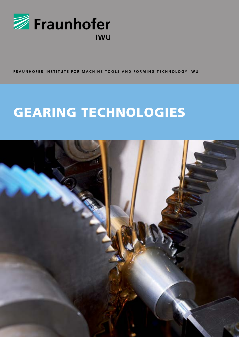

FRAUNHOFER INSTITUTE FOR MACHINE TOOLS AND FORMING TECHNOLOGY IWU

# **GEARING TECHNOLOGIES**

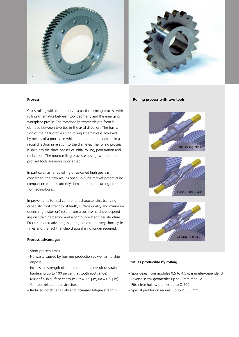



#### **Process**

Cross-rolling with round tools is a partial forming process with rolling kinematics between tool geometry and the emerging workpiece profile. The rotationally symmetric pre-form is clamped between two tips in the axial direction. The formation of the gear profile using rolling kinematics is achieved by means of a process in which the tool teeth penetrate in a radial direction in relation to the diameter. The rolling process is split into the three phases of initial rolling, penetration and calibration. The round rolling processes using two and three profiled tools are industry-oriented.

In particular, as far as rolling of so-called high gears is concerned, the new results open up huge market potential by comparison to the (currently dominant) metal-cutting production technologies.

Improvements to final component characteristics (carrying capability, root strength of teeth, surface quality and minimum quenching distortion) result from a surface hardness depending on strain hardening and a contour-related fiber structure. Process-related advantages emerge due to the very short cycle times and the fact that chip disposal is no longer required.

### **Process advantages**

- Short process times
- No waste caused by forming production as well as no chip disposal
- Increase in strength of tooth contour as a result of strain hardening up to 100 percent (at tooth root range)
- Mirror-finish surface contours ( $Rz = 1.5 \mu m$ ,  $Ra = 0.5 \mu m$ )
- Contour-related fiber structure
- Reduced notch sensitivity and increased fatigue strength

#### **Rolling process with two tools**







#### **Profiles producible by rolling**

- Spur gears from modules 0.5 to 4.5 (parameter-dependent)
- Diverse screw geometries up to 8 mm module
- Pitch-free hollow profiles up to Ø 200 mm
- Special profiles on request up to  $\varnothing$  300 mm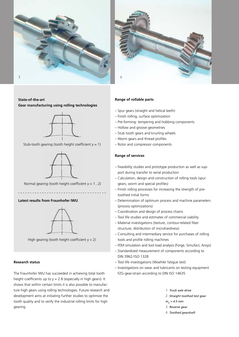



## **State-of-the-art Gear manufacturing using rolling technologies**



Stub-tooth gearing (tooth height coefficient  $y = 1$ )



Normal gearing (tooth height coefficient  $y = 1..2$ )

## **Latest results from Fraunhofer IWU**



High gearing (tooth height coefficient  $y > 2$ )

## **Research status**

The Fraunhofer IWU has succeeded in achieving total tooth height coefficients up to  $y = 2.8$  (especially in high gears). It shows that within certain limits it is also possible to manufacture high gears using rolling technologies. Future research and development aims at initiating further studies to optimize the tooth quality and to verify the industrial rolling limits for high gearing.

#### **Range of rollable parts**

- Spur gears (straight and helical teeth)
- Finish rolling, surface optimization
- Pre-forming: tempering and hobbing components
- Hollow and groove geometries
- Stub tooth gears and knurling wheels
- Worm gears and thread profiles
- Rotor and compressor components

#### **Range of services**

- Feasibility studies and prototype production as well as support during transfer to serial production
- Calculation, design and construction of rolling tools (spur gears, worm and special profiles)
- Finish rolling processes for increasing the strength of pretoothed initial forms
- Determination of optimum process and machine parameters (process optimizations)
- Coordination and design of process chains
- Tool life studies and estimates of commercial viability
- Material investigations (texture, contour-related fiber structure, distribution of microhardness)
- Consulting and intermediary service for purchases of rolling tools and profile rolling machines
- FEM simulation and tool load analysis (Forge, Simufact, Ansys)
- Standardized measurement of components according to DIN 3962/ISO 1328
- Tool life investigations (Woehler fatigue test)
- Investigations on wear and lubricants on testing equipment FZG-gear-strain according to DIN ISO 14635
	- **1** *Truck axle drive*
	- **2** *Straight toothed test gear*
	- $m<sub>n</sub> = 4.5$  mm
	- **3** *Reverse gear*
	- **4** *Toothed gearshaft*